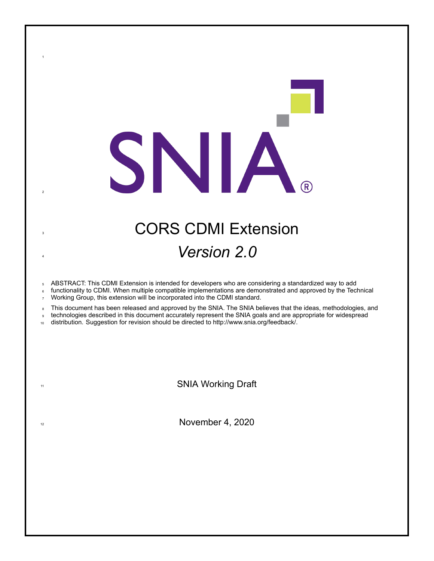# **3 CORS CDMI Extension** <sup>4</sup> *Version 2.0*

SNIA

<sup>5</sup> ABSTRACT: This CDMI Extension is intended for developers who are considering a standardized way to add

functionality to CDMI. When multiple compatible implementations are demonstrated and approved by the Technical <sup>7</sup> Working Group, this extension will be incorporated into the CDMI standard.

8 This document has been released and approved by the SNIA. The SNIA believes that the ideas, methodologies, and

<sup>9</sup> technologies described in this document accurately represent the SNIA goals and are appropriate for widespread

10 distribution. Suggestion for revision should be directed to http://www.snia.org/feedback/.

1

2

11 SNIA Working Draft

 $12$  November 4, 2020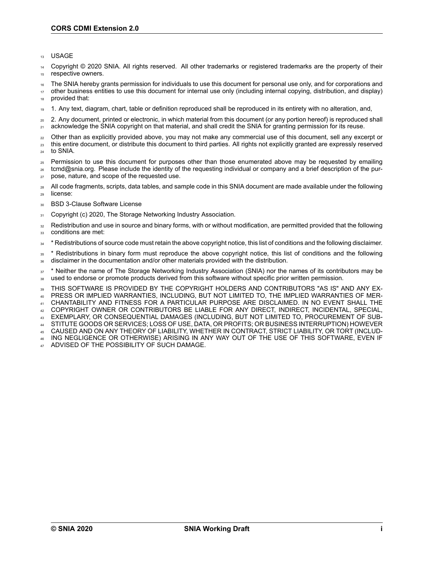<sup>13</sup> USAGE

<sup>14</sup> Copyright © 2020 SNIA. All rights reserved. All other trademarks or registered trademarks are the property of their 15 respective owners.

<sup>16</sup> The SNIA hereby grants permission for individuals to use this document for personal use only, and for corporations and

<sup>17</sup> other business entities to use this document for internal use only (including internal copying, distribution, and display) provided that:

<sup>19</sup> 1. Any text, diagram, chart, table or definition reproduced shall be reproduced in its entirety with no alteration, and,

<sup>20</sup> 2. Any document, printed or electronic, in which material from this document (or any portion hereof) is reproduced shall <sub>21</sub> acknowledge the SNIA copyright on that material, and shall credit the SNIA for granting permission for its reuse.

- <sub>22</sub> Other than as explicitly provided above, you may not make any commercial use of this document, sell any excerpt or <sup>23</sup> this entire document, or distribute this document to third parties. All rights not explicitly granted are expressly reserved
- <sup>24</sup> to SNIA.
- <sup>25</sup> Permission to use this document for purposes other than those enumerated above may be requested by emailing <sup>26</sup> tcmd@snia.org. Please include the identity of the requesting individual or company and a brief description of the pur-
- <sup>27</sup> pose, nature, and scope of the requested use.
- 28 All code fragments, scripts, data tables, and sample code in this SNIA document are made available under the following <sup>29</sup> license:
- 30 BSD 3-Clause Software License
- 31 Copyright (c) 2020, The Storage Networking Industry Association.
- <sup>32</sup> Redistribution and use in source and binary forms, with or without modification, are permitted provided that the following 33 conditions are met:
- <sup>34</sup> \* Redistributions of source code must retain the above copyright notice, this list of conditions and the following disclaimer.
- <sup>35</sup> \* Redistributions in binary form must reproduce the above copyright notice, this list of conditions and the following <sup>36</sup> disclaimer in the documentation and/or other materials provided with the distribution.
- <sup>37</sup> \* Neither the name of The Storage Networking Industry Association (SNIA) nor the names of its contributors may be <sup>38</sup> used to endorse or promote products derived from this software without specific prior written permission.
- <sup>39</sup> THIS SOFTWARE IS PROVIDED BY THE COPYRIGHT HOLDERS AND CONTRIBUTORS "AS IS" AND ANY EX-<sup>40</sup> PRESS OR IMPLIED WARRANTIES, INCLUDING, BUT NOT LIMITED TO, THE IMPLIED WARRANTIES OF MER-
- <sup>41</sup> CHANTABILITY AND FITNESS FOR A PARTICULAR PURPOSE ARE DISCLAIMED. IN NO EVENT SHALL THE
- <sup>42</sup> COPYRIGHT OWNER OR CONTRIBUTORS BE LIABLE FOR ANY DIRECT, INDIRECT, INCIDENTAL, SPECIAL,
- <sup>43</sup> EXEMPLARY, OR CONSEQUENTIAL DAMAGES (INCLUDING, BUT NOT LIMITED TO, PROCUREMENT OF SUB-
- <sup>44</sup> STITUTE GOODS OR SERVICES; LOSS OF USE, DATA, OR PROFITS; OR BUSINESS INTERRUPTION) HOWEVER
- <sup>45</sup> CAUSED AND ON ANY THEORY OF LIABILITY, WHETHER IN CONTRACT, STRICT LIABILITY, OR TORT (INCLUD-<sup>46</sup> ING NEGLIGENCE OR OTHERWISE) ARISING IN ANY WAY OUT OF THE USE OF THIS SOFTWARE, EVEN IF
- ADVISED OF THE POSSIBILITY OF SUCH DAMAGE.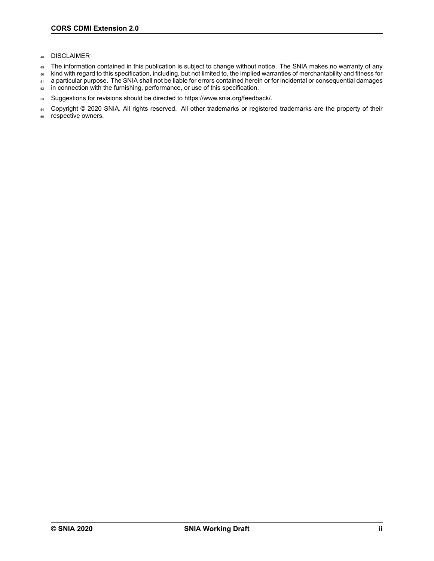- <sup>48</sup> DISCLAIMER
- 49 The information contained in this publication is subject to change without notice. The SNIA makes no warranty of any
- <sup>50</sup> kind with regard to this specification, including, but not limited to, the implied warranties of merchantability and fitness for
- 51 a particular purpose. The SNIA shall not be liable for errors contained herein or for incidental or consequential damages
- 52 in connection with the furnishing, performance, or use of this specification.
- 53 Suggestions for revisions should be directed to https://www.snia.org/feedback/.

54 Copyright © 2020 SNIA. All rights reserved. All other trademarks or registered trademarks are the property of their

<sup>55</sup> respective owners.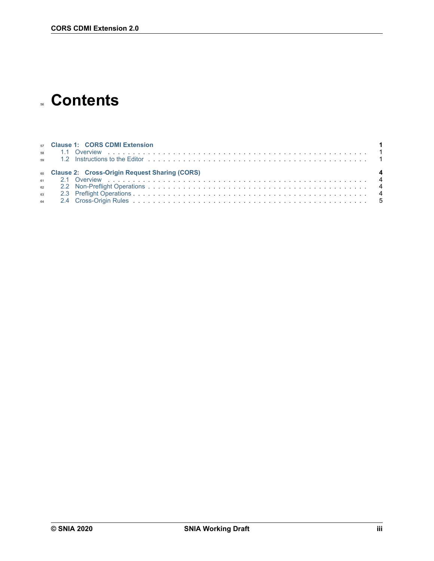## **Contents**

|  | 57 Clause 1: CORS CDMI Extension                 |
|--|--------------------------------------------------|
|  | 60 Clause 2: Cross-Origin Request Sharing (CORS) |
|  |                                                  |
|  |                                                  |
|  |                                                  |
|  |                                                  |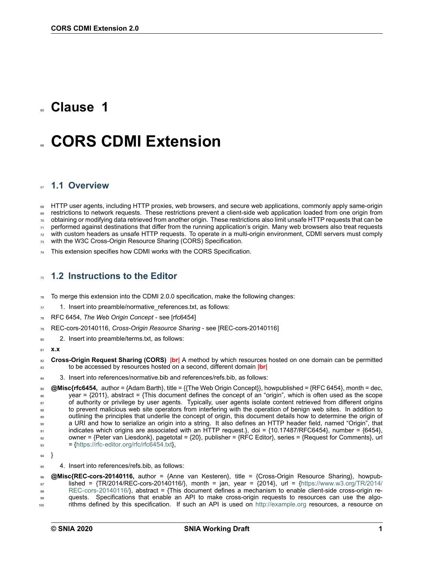### <span id="page-4-0"></span>**Clause 1**

## <sup>66</sup> **CORS CDMI Extension**

### <span id="page-4-1"></span><sup>67</sup> **1.1 Overview**

<sup>68</sup> HTTP user agents, including HTTP proxies, web browsers, and secure web applications, commonly apply same-origin <sup>69</sup> restrictions to network requests. These restrictions prevent a client-side web application loaded from one origin from <sup>70</sup> obtaining or modifying data retrieved from another origin. These restrictions also limit unsafe HTTP requests that can be 71 performed against destinations that differ from the running application's origin. Many web browsers also treat requests  $<sub>72</sub>$  with custom headers as unsafe HTTP requests. To operate in a multi-origin environment, CDMI servers must comply</sub>

 $73$  with the W3C Cross-Origin Resource Sharing (CORS) Specification.

This extension specifies how CDMI works with the CORS Specification.

### <span id="page-4-2"></span><sup>75</sup> **1.2 Instructions to the Editor**

<sup>76</sup> To merge this extension into the CDMI 2.0.0 specification, make the following changes:

- $77 1$ . Insert into preamble/normative references.txt, as follows:
- <sup>78</sup> RFC 6454, *The Web Origin Concept* see [rfc6454]
- REC-cors-20140116, *Cross-Origin Resource Sharing* see [REC-cors-20140116]
- 80 2. Insert into preamble/terms.txt, as follows:
- <sup>81</sup> **x.x**
- <sup>82</sup> **CrossOrigin Request Sharing (CORS) |br|** A method by which resources hosted on one domain can be permitted <sup>83</sup> to be accessed by resources hosted on a second, different domain **|br|**
- 84 3. Insert into references/normative.bib and references/refs.bib, as follows:

85 **@Misc{rfc6454,** author = {Adam Barth}, title = {{The Web Origin Concept}}, howpublished = {RFC 6454}, month = dec, <sup>86</sup> year = {2011}, abstract = {This document defines the concept of an "origin", which is often used as the scope 87 of authority or privilege by user agents. Typically, user agents isolate content retrieved from different origins 88 to prevent malicious web site operators from interfering with the operation of benign web sites. In addition to 89 outlining the principles that underlie the concept of origin, this document details how to determine the origin of <sup>90</sup> a URI and how to serialize an origin into a string. It also defines an HTTP header field, named "Origin", that 91 indicates which origins are associated with an HTTP request.}, doi = {10.17487/RFC6454}, number = {6454}, 92 owner = {Peter van Liesdonk}, pagetotal =  $\{20\}$ , publisher = {RFC Editor}, series = {Request for Comments}, url  $_{93}$ = {https://rfc-editor.org/rfc/rfc6454.txt}

<sup>94</sup> }

95 4. Insert into references/refs.bib, as follows:

<sup>96</sup> **@Misc{RECcors20140116,** author = {Anne van Kesteren}, title = {CrossOrigin Resource Sharing}, howpub- $\mu_{97}$  $\mu_{97}$  $\mu_{97}$ lished = {TR/2014/REC-cors-20140116/}, month = jan, year = {2014}, url = {[https://www.w3.org/TR/2014/](https://www.w3.org/TR/2014/REC-cors-20140116/) 98 REC-cors-20140116/}, abstract = {This document defines a mechanism to enable client-side cross-origin re-99 quests. Specifications that enable an API to make cross-origin requests to resources can use the algo-<sup>100</sup> rithms defined by this specification. If such an API is used on <http://example.org> resources, a resource on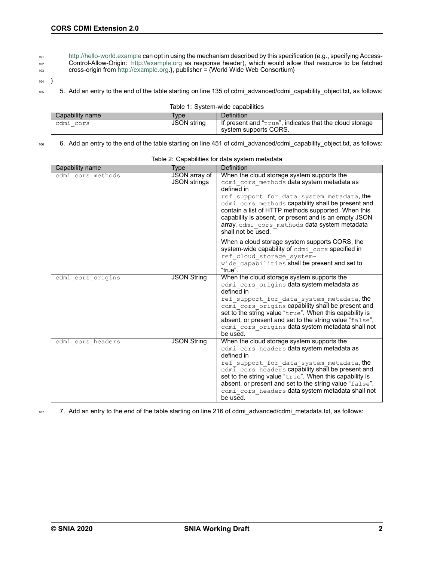- 101 http://hello-world.example can opt in using the mechanism described by this specification (e.g., specifying Access-<sup>102</sup> ControlAllowOrigin: <http://example.org> as response header), which would allow that resource to be fetched
- 103 cross-origin from [http://example.org.](http://example.org)}, publisher = {World Wide Web Consortium}
- <sup>104</sup> }
- <sup>105</sup> 5. Add an entry to the end of the table starting on line 135 of cdmi\_advanced/cdmi\_capability\_object.txt, as follows:

| Table 1: System-wide capabilities |  |
|-----------------------------------|--|
|                                   |  |

| Capability name | Type.       | Definition                                              |
|-----------------|-------------|---------------------------------------------------------|
| cdmi cors       | JSON string | If present and "true", indicates that the cloud storage |
|                 |             | system supports CORS.                                   |

106 6. Add an entry to the end of the table starting on line 451 of cdmi advanced/cdmi capability object.txt, as follows:

|                   |                     | Definition                                                                                               |
|-------------------|---------------------|----------------------------------------------------------------------------------------------------------|
| Capability name   | Type                |                                                                                                          |
| cdmi cors methods | JSON array of       | When the cloud storage system supports the                                                               |
|                   | <b>JSON strings</b> | cdmi cors methods data system metadata as<br>defined in                                                  |
|                   |                     |                                                                                                          |
|                   |                     | ref support for data system metadata, the                                                                |
|                   |                     | cdmi cors methods capability shall be present and<br>contain a list of HTTP methods supported. When this |
|                   |                     | capability is absent, or present and is an empty JSON                                                    |
|                   |                     | array, cdmi cors methods data system metadata                                                            |
|                   |                     | shall not be used.                                                                                       |
|                   |                     |                                                                                                          |
|                   |                     | When a cloud storage system supports CORS, the                                                           |
|                   |                     | system-wide capability of cdmi cors specified in                                                         |
|                   |                     | ref cloud storage system-                                                                                |
|                   |                     | wide capabilities shall be present and set to<br>"true".                                                 |
|                   |                     |                                                                                                          |
| cdmi cors origins | <b>JSON String</b>  | When the cloud storage system supports the                                                               |
|                   |                     | cdmi cors origins data system metadata as<br>defined in                                                  |
|                   |                     | ref support for data system metadata, the                                                                |
|                   |                     | cdmi cors origins capability shall be present and                                                        |
|                   |                     | set to the string value "true". When this capability is                                                  |
|                   |                     | absent, or present and set to the string value "false",                                                  |
|                   |                     | cdmi cors origins data system metadata shall not                                                         |
|                   |                     | be used.                                                                                                 |
| cdmi cors headers | <b>JSON String</b>  | When the cloud storage system supports the                                                               |
|                   |                     | cdmi cors headers data system metadata as<br>defined in                                                  |
|                   |                     |                                                                                                          |
|                   |                     | ref support for data system metadata, the<br>cdmi_cors_headers capability shall be present and           |
|                   |                     | set to the string value "true". When this capability is                                                  |
|                   |                     | absent, or present and set to the string value "false",                                                  |
|                   |                     | cdmi cors headers data system metadata shall not                                                         |
|                   |                     | be used.                                                                                                 |
|                   |                     |                                                                                                          |

#### Table 2: Capabilities for data system metadata

107 7. Add an entry to the end of the table starting on line 216 of cdmi\_advanced/cdmi\_metadata.txt, as follows: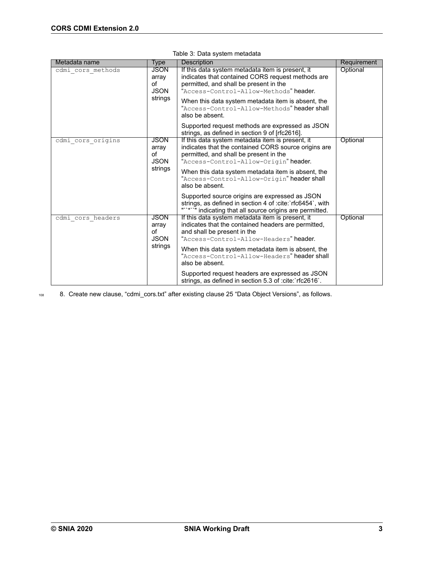| Metadata name     | Type                                                 | <b>Description</b>                                                                                                                                                                                                                                                                                                                                                                                                                  | Requirement |
|-------------------|------------------------------------------------------|-------------------------------------------------------------------------------------------------------------------------------------------------------------------------------------------------------------------------------------------------------------------------------------------------------------------------------------------------------------------------------------------------------------------------------------|-------------|
| cdmi cors methods | <b>JSON</b><br>array<br>οf<br><b>JSON</b><br>strings | If this data system metadata item is present, it<br>indicates that contained CORS request methods are<br>permitted, and shall be present in the<br>"Access-Control-Allow-Methods" header.<br>When this data system metadata item is absent, the<br>"Access-Control-Allow-Methods" header shall<br>also be absent.                                                                                                                   | Optional    |
|                   |                                                      | Supported request methods are expressed as JSON<br>strings, as defined in section 9 of [rfc2616].                                                                                                                                                                                                                                                                                                                                   |             |
| cdmi cors origins | <b>JSON</b><br>array<br>of<br><b>JSON</b><br>strings | If this data system metadata item is present, it<br>indicates that the contained CORS source origins are<br>permitted, and shall be present in the<br>"Access-Control-Allow-Origin" header.<br>When this data system metadata item is absent, the<br>"Access-Control-Allow-Origin" header shall<br>also be absent.<br>Supported source origins are expressed as JSON<br>strings, as defined in section 4 of : cite: `rfc6454`, with | Optional    |
| cdmi cors headers | <b>JSON</b>                                          | indicating that all source origins are permitted.<br>If this data system metadata item is present, it                                                                                                                                                                                                                                                                                                                               | Optional    |
|                   | array<br>of<br><b>JSON</b><br>strings                | indicates that the contained headers are permitted,<br>and shall be present in the<br>"Access-Control-Allow-Headers" header.<br>When this data system metadata item is absent, the<br>"Access-Control-Allow-Headers" header shall<br>also be absent.                                                                                                                                                                                |             |
|                   |                                                      | Supported request headers are expressed as JSON<br>strings, as defined in section 5.3 of : cite: rfc2616 `.                                                                                                                                                                                                                                                                                                                         |             |

| Table 3: Data system metadata |  |  |  |  |
|-------------------------------|--|--|--|--|
|-------------------------------|--|--|--|--|

108 8. Create new clause, "cdmi\_cors.txt" after existing clause 25 "Data Object Versions", as follows.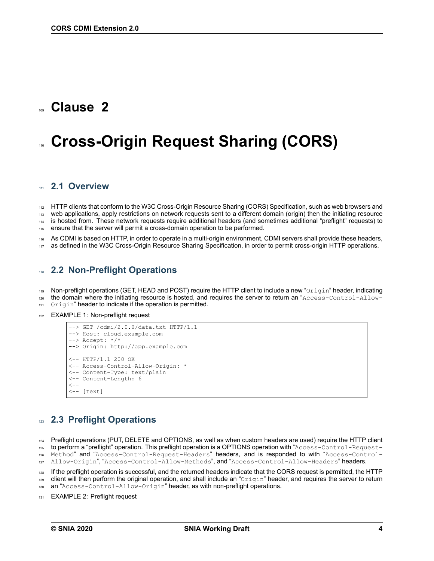### <span id="page-7-0"></span>Clause 2

## **Cross-Origin Request Sharing (CORS)**

#### <span id="page-7-1"></span><sup>111</sup> **2.1 Overview**

112 HTTP clients that conform to the W3C Cross-Origin Resource Sharing (CORS) Specification, such as web browsers and 113 web applications, apply restrictions on network requests sent to a different domain (origin) then the initiating resource <sup>114</sup> is hosted from. These network requests require additional headers (and sometimes additional "preflight" requests) to 115 ensure that the server will permit a cross-domain operation to be performed.

As CDMI is based on HTTP, in order to operate in a multi-origin environment, CDMI servers shall provide these headers, as defined in the W3C Cross-Origin Resource Sharing Specification, in order to permit cross-origin HTTP operations.

### <span id="page-7-2"></span><sup>118</sup> **2.2 NonPreflight Operations**

119 Non-preflight operations (GET, HEAD and POST) require the HTTP client to include a new "Origin" header, indicating

- $120$  the domain where the initiating resource is hosted, and requires the server to return an "Access-Control-Allow-
- 121 Origin" header to indicate if the operation is permitted.
- 122 EXAMPLE 1: Non-preflight request

```
\left(-\right) GET /cdmi/2.0.0/data.txt HTTP/1.1
--> Host: cloud.example.com
--> Accept: */*
--> Origin: http://app.example.com
< HTTP/1.1 200 OK
<-- Access-Control-Allow-Origin: *
<-- Content-Type: text/plain
<-- Content-Length: 6
\lt - -\leftarrow - [text]
```
### <span id="page-7-3"></span><sup>123</sup> **2.3 Preflight Operations**

124 Preflight operations (PUT, DELETE and OPTIONS, as well as when custom headers are used) require the HTTP client  $125$  to perform a "preflight" operation. This preflight operation is a OPTIONS operation with "Access-Control-Request-

126 Method" and "Access-Control-Request-Headers" headers, and is responded to with "Access-Control-

127 Allow-Origin", "Access-Control-Allow-Methods", and "Access-Control-Allow-Headers" headers.

<sup>128</sup> If the preflight operation is successful, and the returned headers indicate that the CORS request is permitted, the HTTP 129 client will then perform the original operation, and shall include an "Origin" header, and requires the server to return

130 an "Access-Control-Allow-Origin" header, as with non-preflight operations.

131 EXAMPLE 2: Preflight request